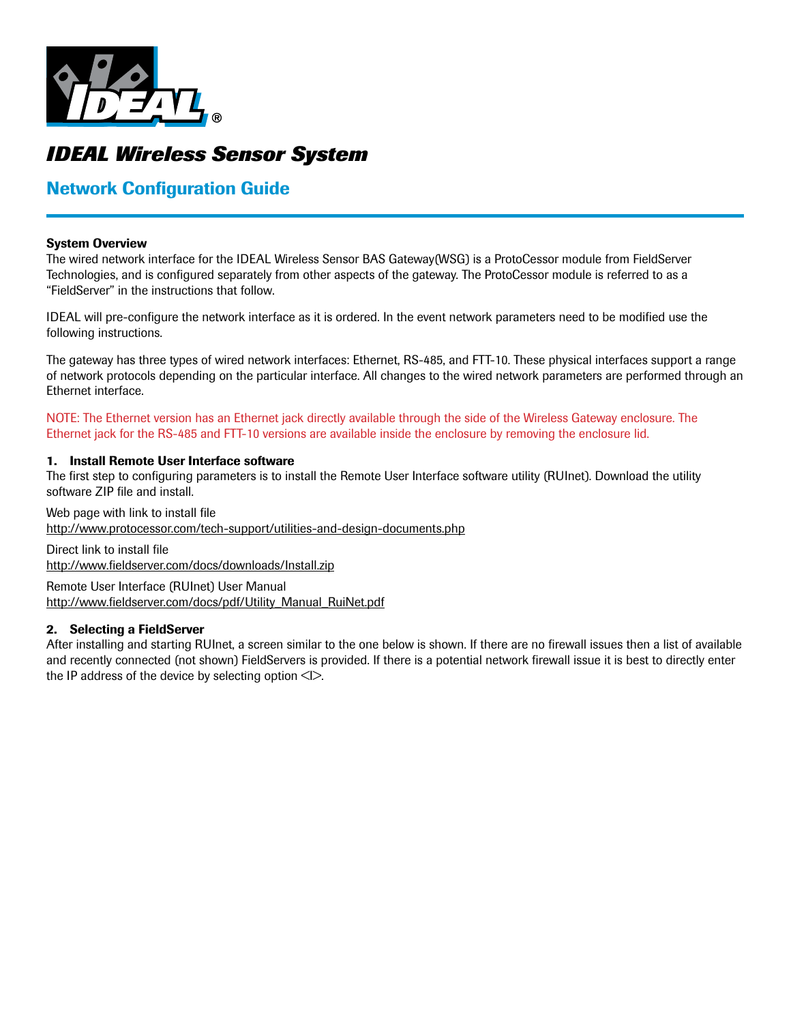

# *IDEAL Wireless Sensor System*

# Network Configuration Guide

#### System Overview

The wired network interface for the IDEAL Wireless Sensor BAS Gateway(WSG) is a ProtoCessor module from FieldServer Technologies, and is configured separately from other aspects of the gateway. The ProtoCessor module is referred to as a "FieldServer" in the instructions that follow.

IDEAL will pre-configure the network interface as it is ordered. In the event network parameters need to be modified use the following instructions.

The gateway has three types of wired network interfaces: Ethernet, RS-485, and FTT-10. These physical interfaces support a range of network protocols depending on the particular interface. All changes to the wired network parameters are performed through an Ethernet interface.

NOTE: The Ethernet version has an Ethernet jack directly available through the side of the Wireless Gateway enclosure. The Ethernet jack for the RS-485 and FTT-10 versions are available inside the enclosure by removing the enclosure lid.

#### 1. Install Remote User Interface software

The first step to configuring parameters is to install the Remote User Interface software utility (RUInet). Download the utility software ZIP file and install.

Web page with link to install file http://www.protocessor.com/tech-support/utilities-and-design-documents.php

Direct link to install file http://www.fieldserver.com/docs/downloads/Install.zip

Remote User Interface (RUInet) User Manual http://www.fieldserver.com/docs/pdf/Utility\_Manual\_RuiNet.pdf

# 2. Selecting a FieldServer

After installing and starting RUInet, a screen similar to the one below is shown. If there are no firewall issues then a list of available and recently connected (not shown) FieldServers is provided. If there is a potential network firewall issue it is best to directly enter the IP address of the device by selecting option  $\leq$   $\geq$ .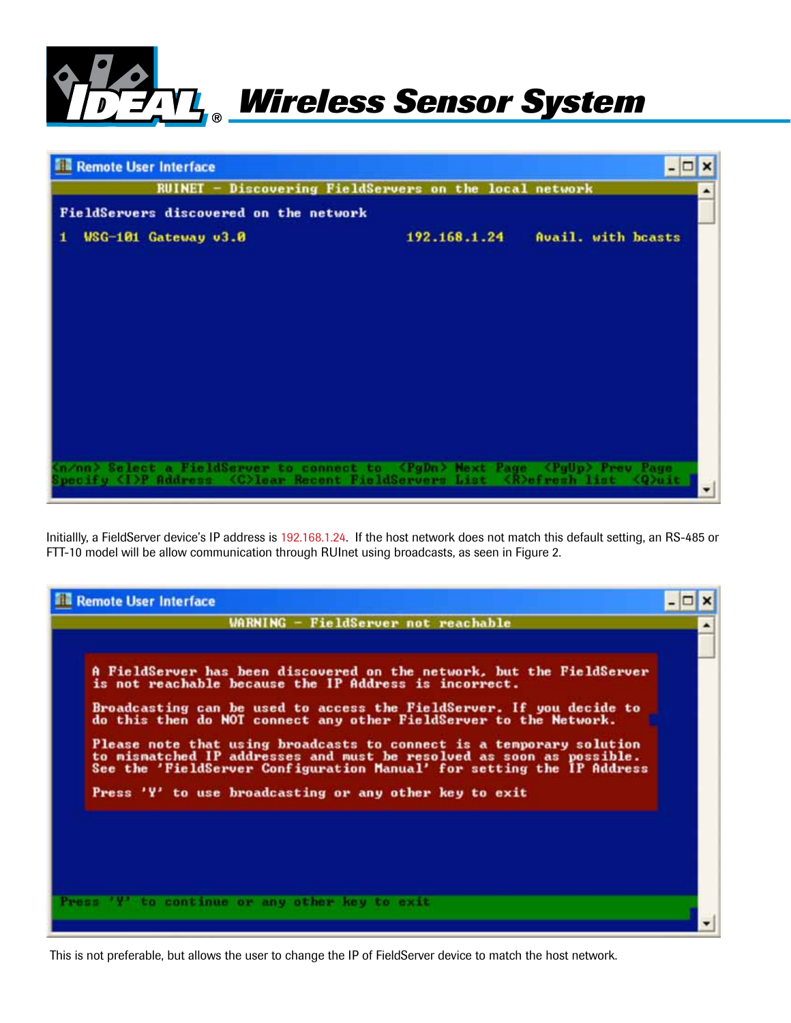



Initiallly, a FieldServer device's IP address is 192.168.1.24. If the host network does not match this default setting, an RS-485 or FTT-10 model will be allow communication through RUInet using broadcasts, as seen in Figure 2.



This is not preferable, but allows the user to change the IP of FieldServer device to match the host network.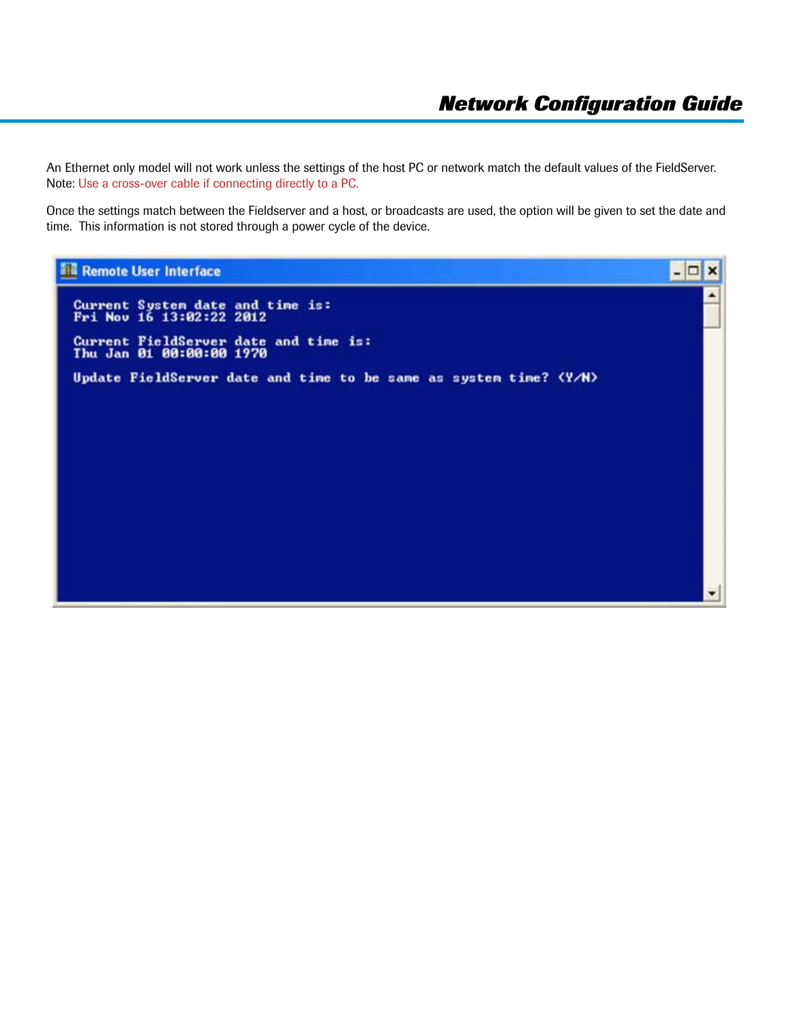An Ethernet only model will not work unless the settings of the host PC or network match the default values of the FieldServer. Note: Use a cross-over cable if connecting directly to a PC.

Once the settings match between the Fieldserver and a host, or broadcasts are used, the option will be given to set the date and time. This information is not stored through a power cycle of the device.

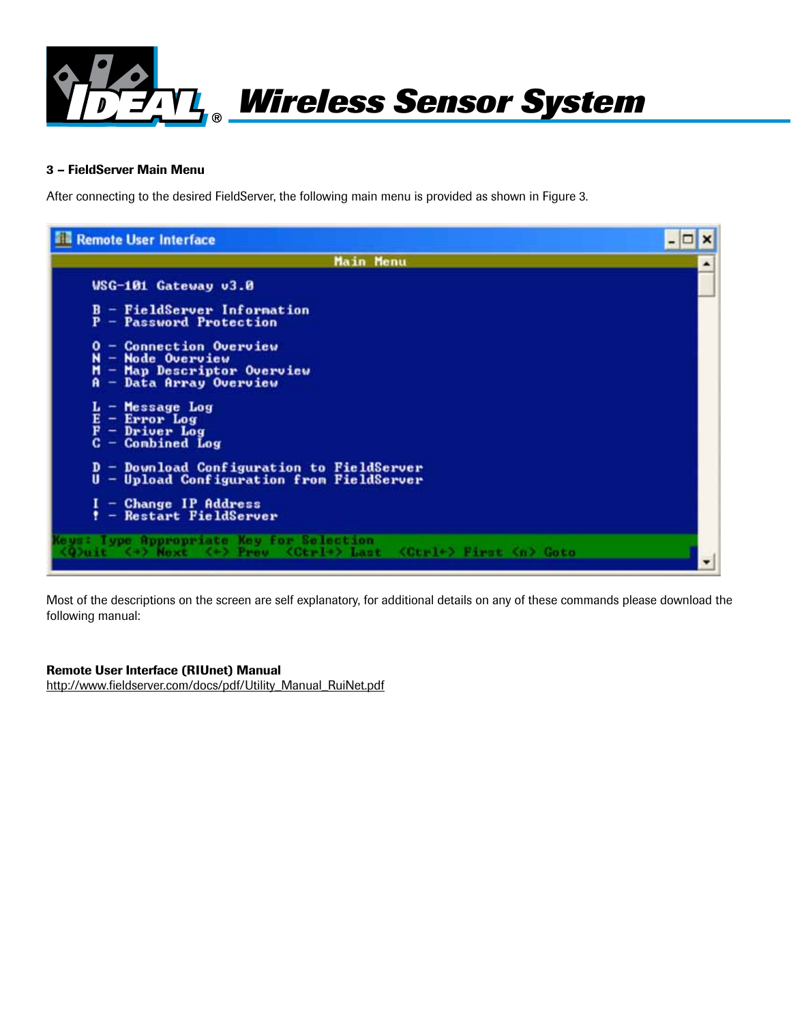

#### 3 – FieldServer Main Menu

After connecting to the desired FieldServer, the following main menu is provided as shown in Figure 3.



Most of the descriptions on the screen are self explanatory, for additional details on any of these commands please download the following manual:

#### Remote User Interface (RIUnet) Manual

http://www.fieldserver.com/docs/pdf/Utility\_Manual\_RuiNet.pdf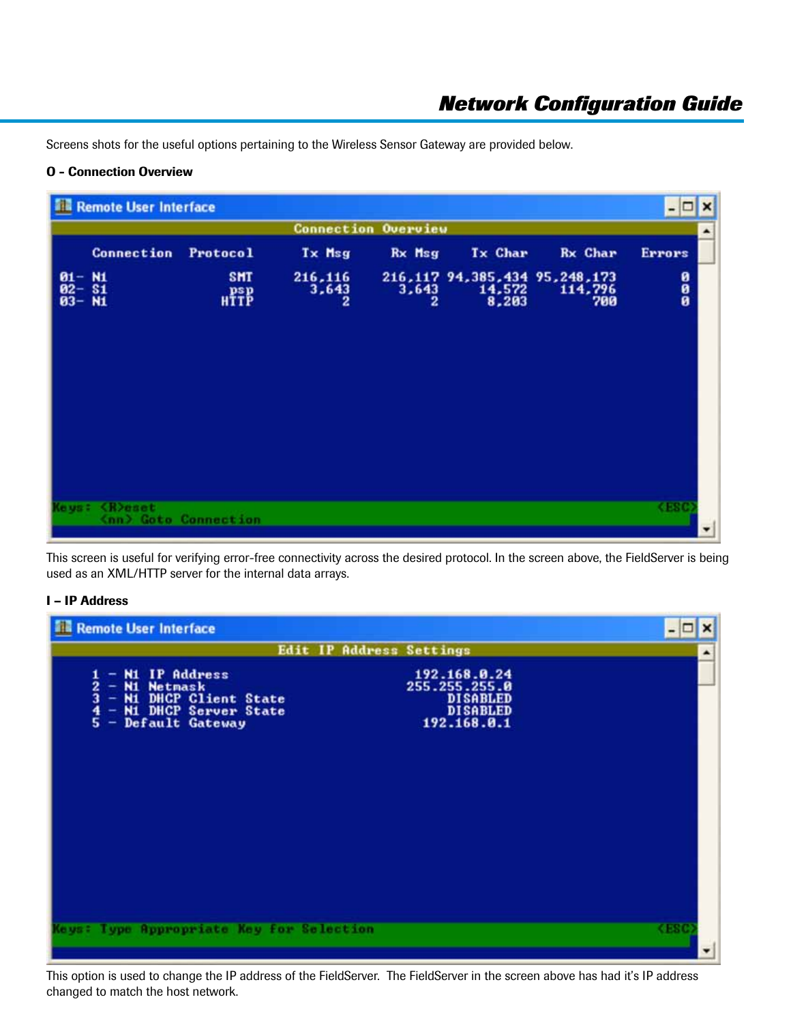Screens shots for the useful options pertaining to the Wireless Sensor Gateway are provided below.

# O - Connection Overview

| <b>Remote User Interface</b>              |                           |                       |                            |                 |                                                      | $ \Box$<br>$\boldsymbol{\mathsf{x}}$ |
|-------------------------------------------|---------------------------|-----------------------|----------------------------|-----------------|------------------------------------------------------|--------------------------------------|
|                                           |                           |                       | <b>Connection Overview</b> |                 |                                                      |                                      |
| Connection                                | Protocol                  | Tx Msg                | Rx Msg                     | <b>Tx Char</b>  | <b>Rx Char</b>                                       | <b>Errors</b>                        |
| $\frac{0.1 - 0.1}{0.2 - 0.1}$<br>0.3 - N1 | <b>SHT</b><br><b>HTTP</b> | 216,116<br>3,643<br>2 | 3,643<br>2                 | 14,572<br>8,203 | 216, 117 94, 385, 434 95, 248, 173<br>114,796<br>700 | 000<br>00                            |
|                                           |                           |                       |                            |                 |                                                      |                                      |
| <b><i><u>K</u></i></b> Yeset<br>Ce us c   | (nn) Goto Connection      |                       |                            |                 |                                                      | <b>KESC</b>                          |

This screen is useful for verifying error-free connectivity across the desired protocol. In the screen above, the FieldServer is being used as an XML/HTTP server for the internal data arrays.

# I – IP Address

| <b>Remote User Interface</b><br>前編                                                                                                                                      |                                                                                    | - 0<br>×       |
|-------------------------------------------------------------------------------------------------------------------------------------------------------------------------|------------------------------------------------------------------------------------|----------------|
| Edit IP Address Settings                                                                                                                                                |                                                                                    | ۸              |
| <b>N1 IP Address</b><br>$\frac{2}{3}$<br>N1<br><b>Netmask</b><br>-<br><b>N1 DHCP Client State</b><br>÷<br><b>N1 DHCP Server State</b><br>÷<br>5<br>Default Gateway<br>- | 192.168.0.24<br>255.255.255.0<br><b>DISABLED</b><br><b>DISABLED</b><br>192.168.0.1 |                |
| Type Appropriate Key for Selection                                                                                                                                      |                                                                                    | <b>RESIDEN</b> |

This option is used to change the IP address of the FieldServer. The FieldServer in the screen above has had it's IP address changed to match the host network.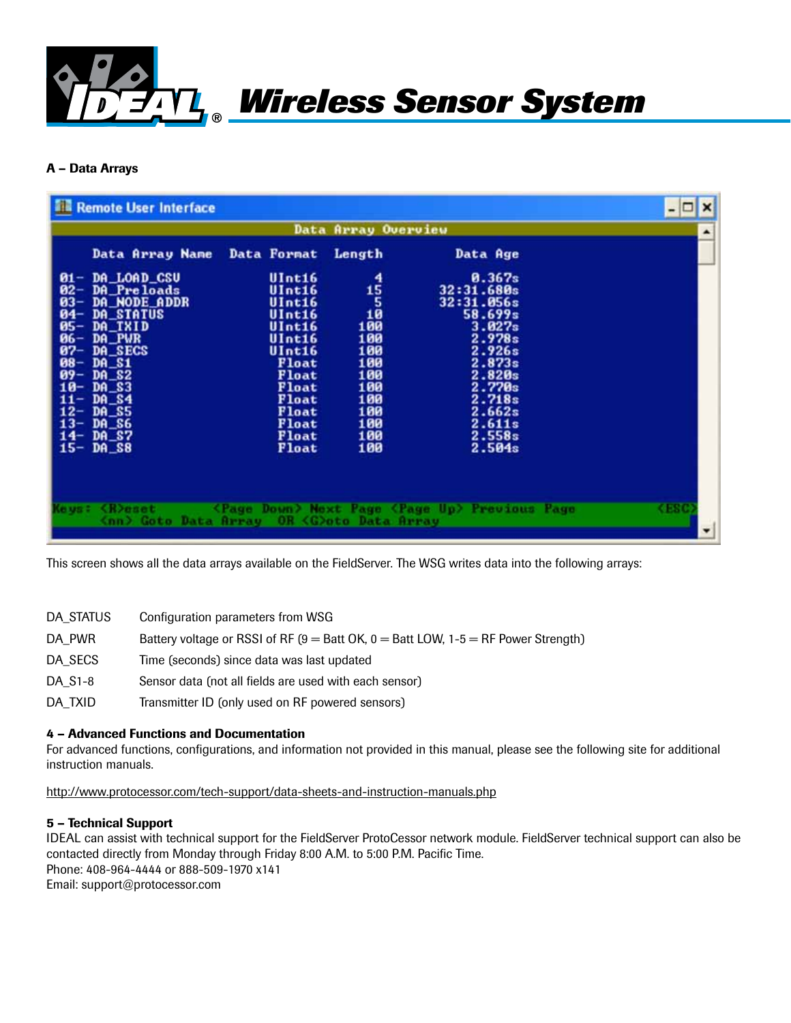

# A – Data Arrays

| <b>Remote User Interface</b>                                                                                                                                                                                                                                                                                                |                                                                                                                                                   |                                                                                             |                                                                                                                                                             | $ \Box$<br>$\boldsymbol{\mathsf{x}}$ |
|-----------------------------------------------------------------------------------------------------------------------------------------------------------------------------------------------------------------------------------------------------------------------------------------------------------------------------|---------------------------------------------------------------------------------------------------------------------------------------------------|---------------------------------------------------------------------------------------------|-------------------------------------------------------------------------------------------------------------------------------------------------------------|--------------------------------------|
|                                                                                                                                                                                                                                                                                                                             |                                                                                                                                                   | Data Array Overview                                                                         |                                                                                                                                                             | ۰                                    |
| Data Array Name                                                                                                                                                                                                                                                                                                             | Data Format                                                                                                                                       | Length                                                                                      | Data Age                                                                                                                                                    |                                      |
| DA_LOAD_CSU<br>$01 -$<br>$02 -$<br>DA_Preloads<br>$03 -$<br>DA_NODE_ADDR<br>$04 -$<br>DA_STATUS<br>DA TXID<br>$05 -$<br>$86 -$<br>DA_PWR<br>$87-$<br>DA SECS<br>$88 -$<br><b>DA_S1</b><br>$09 -$<br><b>DA S2</b><br>10-<br>DA S3<br>DA_S4<br>$11-$<br>$12 -$<br>DA_S5<br>$13-$<br>DA_S6<br>DA_S7<br>$14-$<br>$DA_S8$<br>15– | UInt16<br>UInt16<br>UInt16<br>UInt16<br>UInt16<br>UInt16<br>UInt16<br>Float<br>Float<br>Float<br>Float<br><b>Float</b><br>Float<br>Float<br>Float | 4<br>$\frac{15}{100}$<br>100<br>100<br>100<br>100<br>100<br>100<br>100<br>100<br>100<br>100 | 0.367s<br>32:31.680s<br>32:31.056s<br>58.699s<br>3.027s<br>2.978s<br>2.926s<br>2.873s<br>2.820s<br>2.770s<br>2.718s<br>2.662s<br>2.611s<br>2.558s<br>2.504s |                                      |
| <b><i><u>CR</u></i></b> beset<br>(e us :<br>(nn) Goto Data Arrav                                                                                                                                                                                                                                                            |                                                                                                                                                   | OR <g>oto Data Array</g>                                                                    | <page down=""> Next Page <page up=""> Previous Page</page></page>                                                                                           | <b>CESC</b>                          |

This screen shows all the data arrays available on the FieldServer. The WSG writes data into the following arrays:

| DA STATUS            | Configuration parameters from WSG                                                         |
|----------------------|-------------------------------------------------------------------------------------------|
| DA PWR               | Battery voltage or RSSI of RF ( $9 =$ Batt OK, $0 =$ Batt LOW, 1-5 $=$ RF Power Strength) |
| DA SECS              | Time (seconds) since data was last updated                                                |
| DA S <sub>1</sub> -8 | Sensor data (not all fields are used with each sensor)                                    |
| DA_TXID              | Transmitter ID (only used on RF powered sensors)                                          |

# 4 – Advanced Functions and Documentation

For advanced functions, configurations, and information not provided in this manual, please see the following site for additional instruction manuals.

http://www.protocessor.com/tech-support/data-sheets-and-instruction-manuals.php

#### 5 – Technical Support

IDEAL can assist with technical support for the FieldServer ProtoCessor network module. FieldServer technical support can also be contacted directly from Monday through Friday 8:00 A.M. to 5:00 P.M. Pacific Time. Phone: 408-964-4444 or 888-509-1970 x141 Email: support@protocessor.com